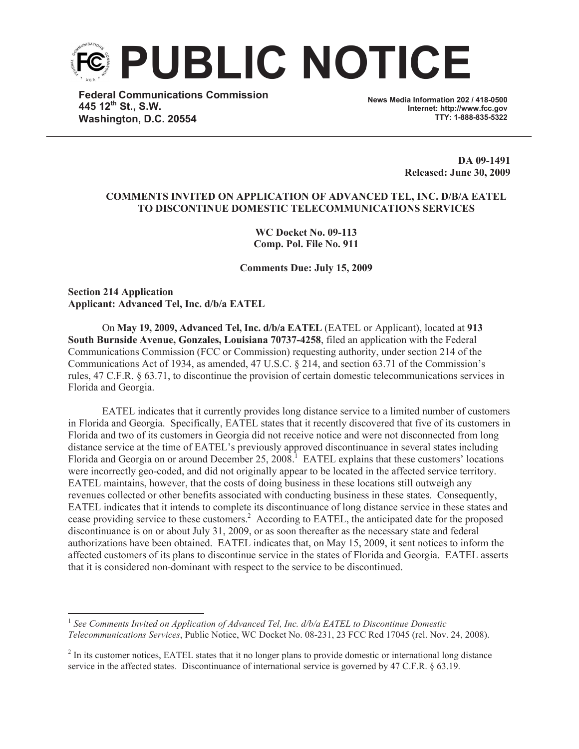

**Federal Communications Commission 445 12th St., S.W. Washington, D.C. 20554**

**News Media Information 202 / 418-0500 Internet: http://www.fcc.gov TTY: 1-888-835-5322**

> **DA 09-1491 Released: June 30, 2009**

## **COMMENTS INVITED ON APPLICATION OF ADVANCED TEL, INC. D/B/A EATEL TO DISCONTINUE DOMESTIC TELECOMMUNICATIONS SERVICES**

**WC Docket No. 09-113 Comp. Pol. File No. 911**

**Comments Due: July 15, 2009**

**Section 214 Application Applicant: Advanced Tel, Inc. d/b/a EATEL**

On **May 19, 2009, Advanced Tel, Inc. d/b/a EATEL** (EATEL or Applicant), located at **913 South Burnside Avenue, Gonzales, Louisiana 70737-4258**, filed an application with the Federal Communications Commission (FCC or Commission) requesting authority, under section 214 of the Communications Act of 1934, as amended, 47 U.S.C. § 214, and section 63.71 of the Commission's rules, 47 C.F.R. § 63.71, to discontinue the provision of certain domestic telecommunications services in Florida and Georgia.

EATEL indicates that it currently provides long distance service to a limited number of customers in Florida and Georgia. Specifically, EATEL states that it recently discovered that five of its customers in Florida and two of its customers in Georgia did not receive notice and were not disconnected from long distance service at the time of EATEL's previously approved discontinuance in several states including Florida and Georgia on or around December 25, 2008.<sup>1</sup> EATEL explains that these customers' locations were incorrectly geo-coded, and did not originally appear to be located in the affected service territory. EATEL maintains, however, that the costs of doing business in these locations still outweigh any revenues collected or other benefits associated with conducting business in these states. Consequently, EATEL indicates that it intends to complete its discontinuance of long distance service in these states and cease providing service to these customers.<sup>2</sup> According to EATEL, the anticipated date for the proposed discontinuance is on or about July 31, 2009, or as soon thereafter as the necessary state and federal authorizations have been obtained. EATEL indicates that, on May 15, 2009, it sent notices to inform the affected customers of its plans to discontinue service in the states of Florida and Georgia. EATEL asserts that it is considered non-dominant with respect to the service to be discontinued.

<sup>&</sup>lt;sup>1</sup> See Comments Invited on Application of Advanced Tel, Inc. d/b/a EATEL to Discontinue Domestic *Telecommunications Services*, Public Notice, WC Docket No. 08-231, 23 FCC Rcd 17045 (rel. Nov. 24, 2008).

 $2$  In its customer notices, EATEL states that it no longer plans to provide domestic or international long distance service in the affected states. Discontinuance of international service is governed by 47 C.F.R. § 63.19.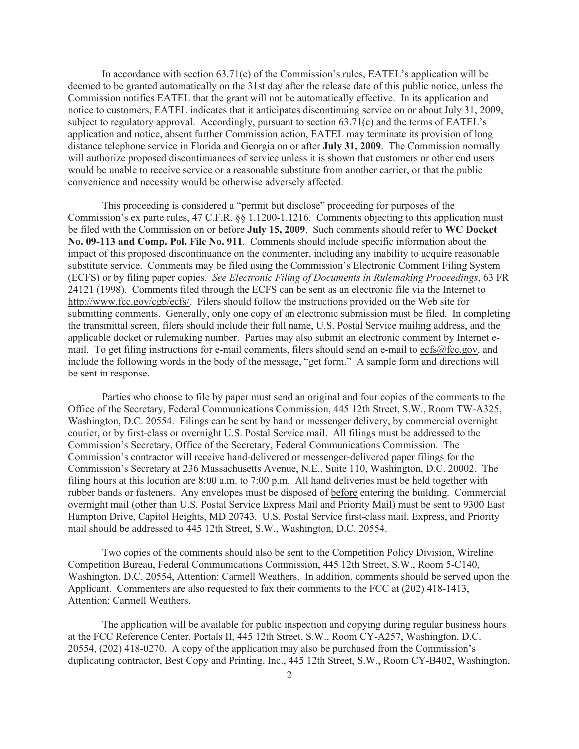In accordance with section  $63.71(c)$  of the Commission's rules, EATEL's application will be deemed to be granted automatically on the 31st day after the release date of this public notice, unless the Commission notifies EATEL that the grant will not be automatically effective. In its application and notice to customers, EATEL indicates that it anticipates discontinuing service on or about July 31, 2009, subject to regulatory approval. Accordingly, pursuant to section 63.71(c) and the terms of EATEL's application and notice, absent further Commission action, EATEL may terminate its provision of long distance telephone service in Florida and Georgia on or after **July 31, 2009**. The Commission normally will authorize proposed discontinuances of service unless it is shown that customers or other end users would be unable to receive service or a reasonable substitute from another carrier, or that the public convenience and necessity would be otherwise adversely affected.

This proceeding is considered a "permit but disclose" proceeding for purposes of the Commission's ex parte rules, 47 C.F.R. §§ 1.1200-1.1216. Comments objecting to this application must be filed with the Commission on or before **July 15, 2009**. Such comments should refer to **WC Docket No. 09-113 and Comp. Pol. File No. 911**. Comments should include specific information about the impact of this proposed discontinuance on the commenter, including any inability to acquire reasonable substitute service. Comments may be filed using the Commission's Electronic Comment Filing System (ECFS) or by filing paper copies. *See Electronic Filing of Documents in Rulemaking Proceedings*, 63 FR 24121 (1998). Comments filed through the ECFS can be sent as an electronic file via the Internet to http://www.fcc.gov/cgb/ecfs/. Filers should follow the instructions provided on the Web site for submitting comments. Generally, only one copy of an electronic submission must be filed. In completing the transmittal screen, filers should include their full name, U.S. Postal Service mailing address, and the applicable docket or rulemaking number. Parties may also submit an electronic comment by Internet email. To get filing instructions for e-mail comments, filers should send an e-mail to ecfs@fcc.gov, and include the following words in the body of the message, "get form." A sample form and directions will be sent in response.

Parties who choose to file by paper must send an original and four copies of the comments to the Office of the Secretary, Federal Communications Commission, 445 12th Street, S.W., Room TW-A325, Washington, D.C. 20554. Filings can be sent by hand or messenger delivery, by commercial overnight courier, or by first-class or overnight U.S. Postal Service mail. All filings must be addressed to the Commission's Secretary, Office of the Secretary, Federal Communications Commission. The Commission's contractor will receive hand-delivered or messenger-delivered paper filings for the Commission's Secretary at 236 Massachusetts Avenue, N.E., Suite 110, Washington, D.C. 20002. The filing hours at this location are 8:00 a.m. to 7:00 p.m. All hand deliveries must be held together with rubber bands or fasteners. Any envelopes must be disposed of before entering the building. Commercial overnight mail (other than U.S. Postal Service Express Mail and Priority Mail) must be sent to 9300 East Hampton Drive, Capitol Heights, MD 20743. U.S. Postal Service first-class mail, Express, and Priority mail should be addressed to 445 12th Street, S.W., Washington, D.C. 20554.

Two copies of the comments should also be sent to the Competition Policy Division, Wireline Competition Bureau, Federal Communications Commission, 445 12th Street, S.W., Room 5-C140, Washington, D.C. 20554, Attention: Carmell Weathers. In addition, comments should be served upon the Applicant. Commenters are also requested to fax their comments to the FCC at (202) 418-1413, Attention: Carmell Weathers.

The application will be available for public inspection and copying during regular business hours at the FCC Reference Center, Portals II, 445 12th Street, S.W., Room CY-A257, Washington, D.C. 20554, (202) 418-0270. A copy of the application may also be purchased from the Commission's duplicating contractor, Best Copy and Printing, Inc., 445 12th Street, S.W., Room CY-B402, Washington,